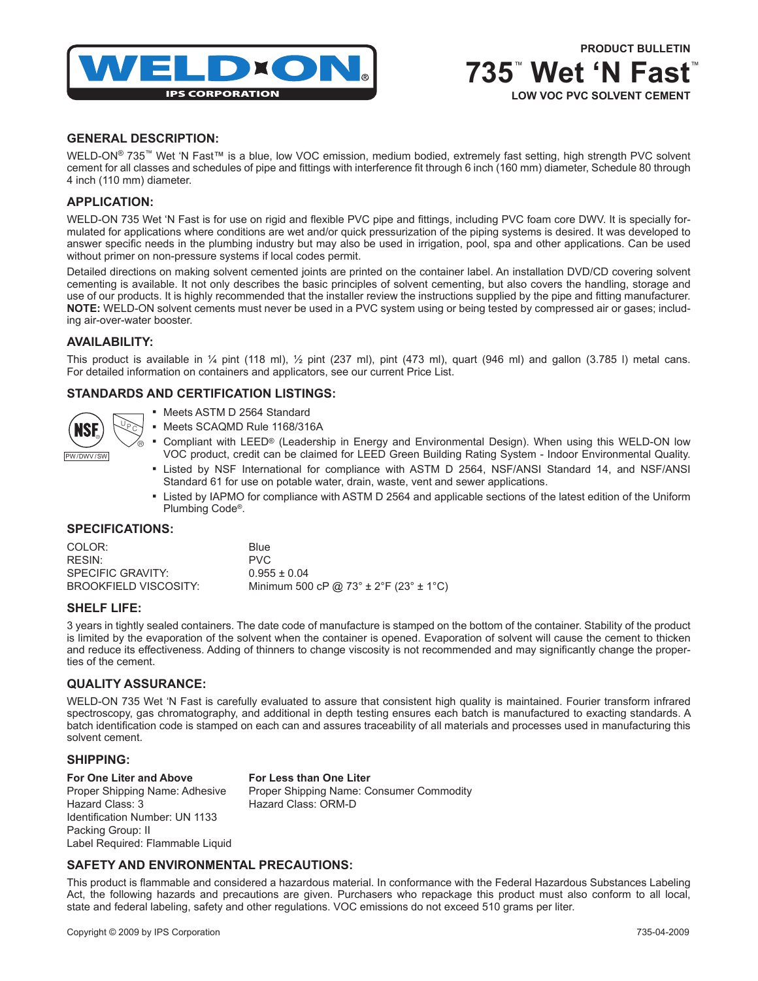

**735**™  **Wet 'N Fast**™

**LOW VOC PVC SOLVENT CEMENT** 

# **GENERAL DESCRIPTION:**

WELD-ON® 735™ Wet 'N Fast™ is a blue, low VOC emission, medium bodied, extremely fast setting, high strength PVC solvent cement for all classes and schedules of pipe and fittings with interference fit through 6 inch (160 mm) diameter, Schedule 80 through 4 inch (110 mm) diameter.

## **APPLICATION:**

WELD-ON 735 Wet 'N Fast is for use on rigid and flexible PVC pipe and fittings, including PVC foam core DWV. It is specially formulated for applications where conditions are wet and/or quick pressurization of the piping systems is desired. It was developed to answer specific needs in the plumbing industry but may also be used in irrigation, pool, spa and other applications. Can be used without primer on non-pressure systems if local codes permit.

Detailed directions on making solvent cemented joints are printed on the container label. An installation DVD/CD covering solvent cementing is available. It not only describes the basic principles of solvent cementing, but also covers the handling, storage and use of our products. It is highly recommended that the installer review the instructions supplied by the pipe and fitting manufacturer. **NOTE:** WELD-ON solvent cements must never be used in a PVC system using or being tested by compressed air or gases; including air-over-water booster.

## **AVAILABILITY:**

This product is available in  $\frac{1}{4}$  pint (118 ml),  $\frac{1}{2}$  pint (237 ml), pint (473 ml), quart (946 ml) and gallon (3.785 l) metal cans. For detailed information on containers and applicators, see our current Price List.

## **STANDARDS AND CERTIFICATION LISTINGS:**

|           | रो |
|-----------|----|
| PW/DWV/SW |    |

- Meets ASTM D 2564 Standard
- Meets SCAQMD Rule 1168/316A
- Compliant with LEED® (Leadership in Energy and Environmental Design). When using this WELD-ON low VOC product, credit can be claimed for LEED Green Building Rating System - Indoor Environmental Quality.
- Listed by NSF International for compliance with ASTM D 2564, NSF/ANSI Standard 14, and NSF/ANSI Standard 61 for use on potable water, drain, waste, vent and sewer applications.
- Listed by IAPMO for compliance with ASTM D 2564 and applicable sections of the latest edition of the Uniform Plumbing Code®.

## **SPECIFICATIONS:**

| COLOR:                | <b>Blue</b>                                    |
|-----------------------|------------------------------------------------|
| RESIN:                | PVC.                                           |
| SPECIFIC GRAVITY:     | $0.955 \pm 0.04$                               |
| BROOKFIELD VISCOSITY: | Minimum 500 cP @ 73° $\pm$ 2°F (23° $\pm$ 1°C) |

## **SHELF LIFE:**

3 years in tightly sealed containers. The date code of manufacture is stamped on the bottom of the container. Stability of the product is limited by the evaporation of the solvent when the container is opened. Evaporation of solvent will cause the cement to thicken and reduce its effectiveness. Adding of thinners to change viscosity is not recommended and may significantly change the properties of the cement.

## **QUALITY ASSURANCE:**

WELD-ON 735 Wet 'N Fast is carefully evaluated to assure that consistent high quality is maintained. Fourier transform infrared spectroscopy, gas chromatography, and additional in depth testing ensures each batch is manufactured to exacting standards. A batch identification code is stamped on each can and assures traceability of all materials and processes used in manufacturing this solvent cement.

# **SHIPPING:**

#### **For One Liter and Above For Less than One Liter**

Hazard Class: 3 Hazard Class: ORM-D Identification Number: UN 1133 Packing Group: II Label Required: Flammable Liquid

Proper Shipping Name: Adhesive Proper Shipping Name: Consumer Commodity

# **SAFETY AND ENVIRONMENTAL PRECAUTIONS:**

This product is flammable and considered a hazardous material. In conformance with the Federal Hazardous Substances Labeling Act, the following hazards and precautions are given. Purchasers who repackage this product must also conform to all local, state and federal labeling, safety and other regulations. VOC emissions do not exceed 510 grams per liter.